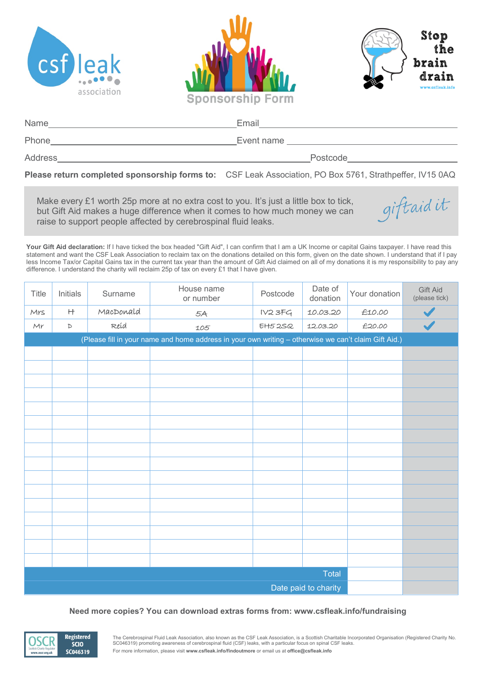





giftaidit

| Name    | Email      |
|---------|------------|
| Phone   | Event name |
| Address | Postcode   |

**Please return completed sponsorship forms to:** CSF Leak Association, PO Box 5761, Strathpeffer, IV15 0AQ

Make every £1 worth 25p more at no extra cost to you. It's just a little box to tick, but Gift Aid makes a huge difference when it comes to how much money we can raise to support people affected by cerebrospinal fluid leaks.

Your Gift Aid declaration: If I have ticked the box headed "Gift Aid", I can confirm that I am a UK Income or capital Gains taxpayer. I have read this statement and want the CSF Leak Association to reclaim tax on the donations detailed on this form, given on the date shown. I understand that if I pay less Income Tax/or Capital Gains tax in the current tax year than the amount of Gift Aid claimed on all of my donations it is my responsibility to pay any difference. I understand the charity will reclaim 25p of tax on every £1 that I have given.

| Title                                                                                                | Initials    | Surname   | House name<br>or number | Postcode      | Date of<br>donation | Your donation | Gift Aid<br>(please tick) |
|------------------------------------------------------------------------------------------------------|-------------|-----------|-------------------------|---------------|---------------------|---------------|---------------------------|
| Mrs                                                                                                  | H           | MacDonald | 5A                      | IV23FG        | 10.03.20            | £10.00        |                           |
| Mr                                                                                                   | $\mathbb D$ | Reid      | 105                     | $E$ H $52S$ Q | 12.03.20            | £20.00        |                           |
| (Please fill in your name and home address in your own writing - otherwise we can't claim Gift Aid.) |             |           |                         |               |                     |               |                           |
|                                                                                                      |             |           |                         |               |                     |               |                           |
|                                                                                                      |             |           |                         |               |                     |               |                           |
|                                                                                                      |             |           |                         |               |                     |               |                           |
|                                                                                                      |             |           |                         |               |                     |               |                           |
|                                                                                                      |             |           |                         |               |                     |               |                           |
|                                                                                                      |             |           |                         |               |                     |               |                           |
|                                                                                                      |             |           |                         |               |                     |               |                           |
|                                                                                                      |             |           |                         |               |                     |               |                           |
|                                                                                                      |             |           |                         |               |                     |               |                           |
|                                                                                                      |             |           |                         |               |                     |               |                           |
|                                                                                                      |             |           |                         |               |                     |               |                           |
|                                                                                                      |             |           |                         |               |                     |               |                           |
|                                                                                                      |             |           |                         |               |                     |               |                           |
|                                                                                                      |             |           |                         |               |                     |               |                           |
|                                                                                                      |             |           |                         |               |                     |               |                           |
|                                                                                                      |             |           |                         |               |                     |               |                           |
| Total                                                                                                |             |           |                         |               |                     |               |                           |
| Date paid to charity                                                                                 |             |           |                         |               |                     |               |                           |

## **Need more copies? You can download extras forms from: www.csfleak.info/fundraising**